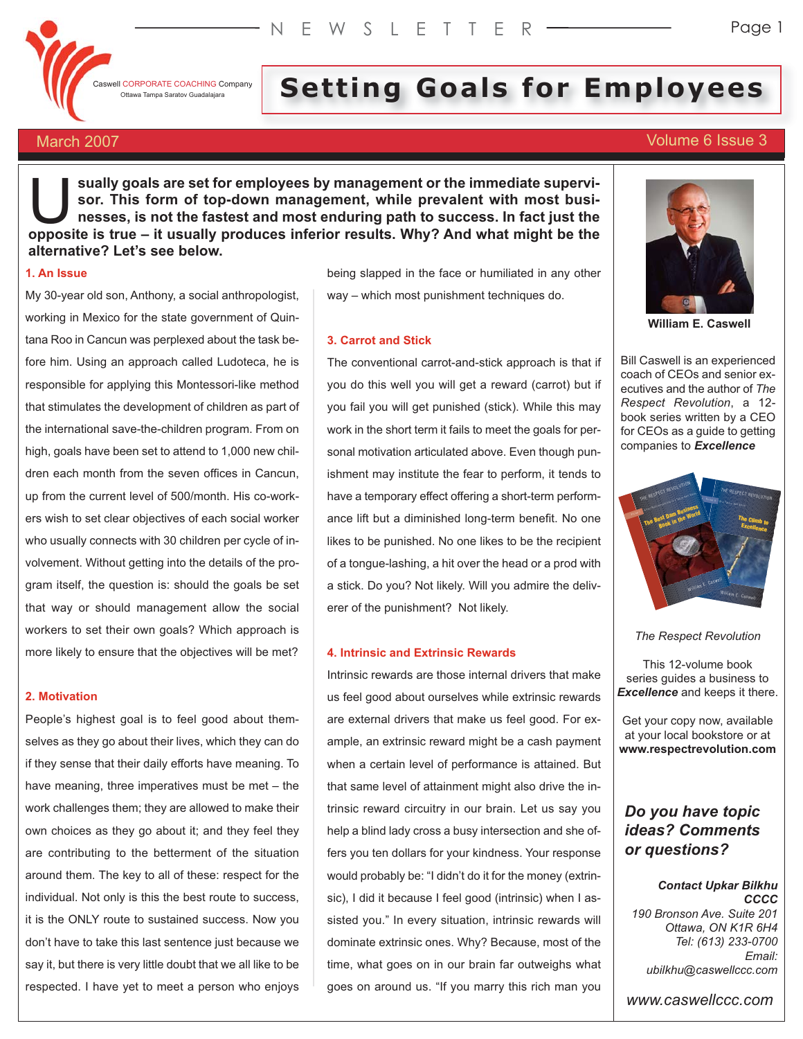Caswell CORPORATE COACHING Company

# **I** CORPORATE COACHING Company Setting Company Setting **Setting Goals for Employers**

# March 2007 **Volume 6 Issue 3**

**sually goals are set for employees by management or the immediate supervisor. This form of top-down management, while prevalent with most businesses, is not the fastest and most enduring path to success. In fact just the** sually goals are set for employees by management or the immediate supervisor. This form of top-down management, while prevalent with most businesses, is not the fastest and most enduring path to success. In fact just the o **alternative? Let's see below.**

# **1. An Issue**

My 30-year old son, Anthony, a social anthropologist, working in Mexico for the state government of Quintana Roo in Cancun was perplexed about the task before him. Using an approach called Ludoteca, he is responsible for applying this Montessori-like method that stimulates the development of children as part of the international save-the-children program. From on high, goals have been set to attend to 1,000 new children each month from the seven offices in Cancun, up from the current level of 500/month. His co-workers wish to set clear objectives of each social worker who usually connects with 30 children per cycle of involvement. Without getting into the details of the program itself, the question is: should the goals be set that way or should management allow the social workers to set their own goals? Which approach is more likely to ensure that the objectives will be met?

# **2. Motivation**

People's highest goal is to feel good about themselves as they go about their lives, which they can do if they sense that their daily efforts have meaning. To have meaning, three imperatives must be met – the work challenges them; they are allowed to make their own choices as they go about it; and they feel they are contributing to the betterment of the situation around them. The key to all of these: respect for the individual. Not only is this the best route to success, it is the ONLY route to sustained success. Now you don't have to take this last sentence just because we say it, but there is very little doubt that we all like to be respected. I have yet to meet a person who enjoys

being slapped in the face or humiliated in any other way – which most punishment techniques do.

# **3. Carrot and Stick**

The conventional carrot-and-stick approach is that if you do this well you will get a reward (carrot) but if you fail you will get punished (stick). While this may work in the short term it fails to meet the goals for personal motivation articulated above. Even though punishment may institute the fear to perform, it tends to have a temporary effect offering a short-term performance lift but a diminished long-term benefit. No one likes to be punished. No one likes to be the recipient of a tongue-lashing, a hit over the head or a prod with a stick. Do you? Not likely. Will you admire the deliverer of the punishment? Not likely.

# **4. Intrinsic and Extrinsic Rewards**

Intrinsic rewards are those internal drivers that make us feel good about ourselves while extrinsic rewards are external drivers that make us feel good. For example, an extrinsic reward might be a cash payment when a certain level of performance is attained. But that same level of attainment might also drive the intrinsic reward circuitry in our brain. Let us say you help a blind lady cross a busy intersection and she offers you ten dollars for your kindness. Your response would probably be: "I didn't do it for the money (extrinsic), I did it because I feel good (intrinsic) when I assisted you." In every situation, intrinsic rewards will dominate extrinsic ones. Why? Because, most of the time, what goes on in our brain far outweighs what goes on around us. "If you marry this rich man you



**William E. Caswell**

Bill Caswell is an experienced coach of CEOs and senior executives and the author of *The Respect Revolution*, a 12 book series written by a CEO for CEOs as a guide to getting companies to *Excellence*



*The Respect Revolution*

This 12-volume book series guides a business to *Excellence* and keeps it there.

Get your copy now, available at your local bookstore or at **www.respectrevolution.com**

# *Do you have topic ideas? Comments or questions?*

#### *Contact Upkar Bilkhu CCCC*

*190 Bronson Ave. Suite 201 Ottawa, ON K1R 6H4 Tel: (613) 233-0700 Email: ubilkhu@caswellccc.com*

*www.caswellccc.com*